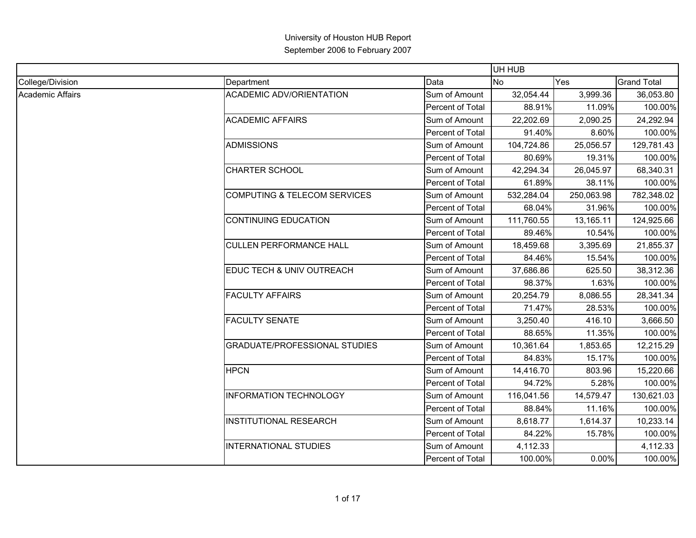|                         |                                      |                  | UH HUB     |            |                    |
|-------------------------|--------------------------------------|------------------|------------|------------|--------------------|
| College/Division        | Department                           | Data             | No.        | Yes        | <b>Grand Total</b> |
| <b>Academic Affairs</b> | <b>ACADEMIC ADV/ORIENTATION</b>      | Sum of Amount    | 32,054.44  | 3,999.36   | 36,053.80          |
|                         |                                      | Percent of Total | 88.91%     | 11.09%     | 100.00%            |
|                         | <b>ACADEMIC AFFAIRS</b>              | Sum of Amount    | 22,202.69  | 2,090.25   | 24,292.94          |
|                         |                                      | Percent of Total | 91.40%     | 8.60%      | 100.00%            |
|                         | <b>ADMISSIONS</b>                    | Sum of Amount    | 104,724.86 | 25,056.57  | 129,781.43         |
|                         |                                      | Percent of Total | 80.69%     | 19.31%     | 100.00%            |
|                         | <b>CHARTER SCHOOL</b>                | Sum of Amount    | 42,294.34  | 26,045.97  | 68,340.31          |
|                         |                                      | Percent of Total | 61.89%     | 38.11%     | 100.00%            |
|                         | COMPUTING & TELECOM SERVICES         | Sum of Amount    | 532,284.04 | 250,063.98 | 782,348.02         |
|                         |                                      | Percent of Total | 68.04%     | 31.96%     | 100.00%            |
|                         | <b>CONTINUING EDUCATION</b>          | Sum of Amount    | 111,760.55 | 13,165.11  | 124,925.66         |
|                         |                                      | Percent of Total | 89.46%     | 10.54%     | 100.00%            |
|                         | <b>CULLEN PERFORMANCE HALL</b>       | Sum of Amount    | 18,459.68  | 3,395.69   | 21,855.37          |
|                         |                                      | Percent of Total | 84.46%     | 15.54%     | 100.00%            |
|                         | EDUC TECH & UNIV OUTREACH            | Sum of Amount    | 37,686.86  | 625.50     | 38,312.36          |
|                         |                                      | Percent of Total | 98.37%     | 1.63%      | 100.00%            |
|                         | <b>FACULTY AFFAIRS</b>               | Sum of Amount    | 20,254.79  | 8,086.55   | 28,341.34          |
|                         |                                      | Percent of Total | 71.47%     | 28.53%     | 100.00%            |
|                         | <b>FACULTY SENATE</b>                | Sum of Amount    | 3,250.40   | 416.10     | 3,666.50           |
|                         |                                      | Percent of Total | 88.65%     | 11.35%     | 100.00%            |
|                         | <b>GRADUATE/PROFESSIONAL STUDIES</b> | Sum of Amount    | 10,361.64  | 1,853.65   | 12,215.29          |
|                         |                                      | Percent of Total | 84.83%     | 15.17%     | 100.00%            |
|                         | <b>HPCN</b>                          | Sum of Amount    | 14,416.70  | 803.96     | 15,220.66          |
|                         |                                      | Percent of Total | 94.72%     | 5.28%      | 100.00%            |
|                         | <b>INFORMATION TECHNOLOGY</b>        | Sum of Amount    | 116,041.56 | 14,579.47  | 130,621.03         |
|                         |                                      | Percent of Total | 88.84%     | 11.16%     | 100.00%            |
|                         | <b>INSTITUTIONAL RESEARCH</b>        | Sum of Amount    | 8,618.77   | 1,614.37   | 10,233.14          |
|                         |                                      | Percent of Total | 84.22%     | 15.78%     | 100.00%            |
|                         | <b>INTERNATIONAL STUDIES</b>         | Sum of Amount    | 4,112.33   |            | 4,112.33           |
|                         |                                      | Percent of Total | 100.00%    | 0.00%      | 100.00%            |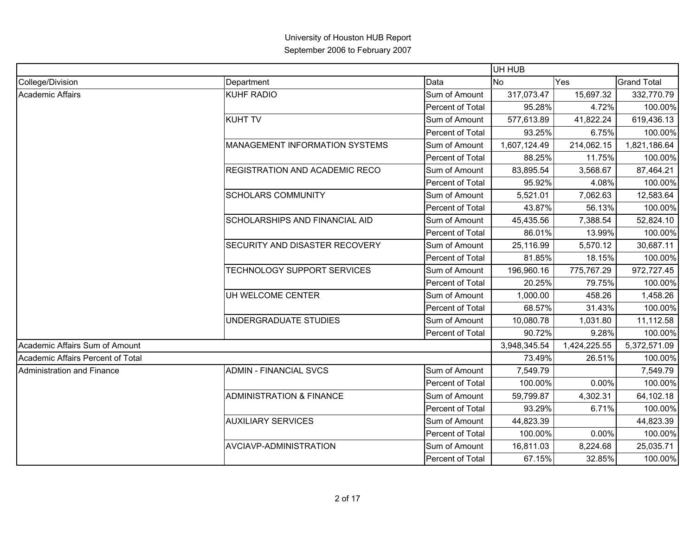|                                   |                                     |                         | UH HUB       |              |                    |
|-----------------------------------|-------------------------------------|-------------------------|--------------|--------------|--------------------|
| College/Division                  | Department                          | Data                    | <b>No</b>    | Yes          | <b>Grand Total</b> |
| Academic Affairs                  | <b>KUHF RADIO</b>                   | Sum of Amount           | 317,073.47   | 15,697.32    | 332,770.79         |
|                                   |                                     | Percent of Total        | 95.28%       | 4.72%        | 100.00%            |
|                                   | <b>KUHT TV</b>                      | Sum of Amount           | 577,613.89   | 41,822.24    | 619,436.13         |
|                                   |                                     | Percent of Total        | 93.25%       | 6.75%        | 100.00%            |
|                                   | MANAGEMENT INFORMATION SYSTEMS      | Sum of Amount           | 1,607,124.49 | 214,062.15   | 1,821,186.64       |
|                                   |                                     | Percent of Total        | 88.25%       | 11.75%       | 100.00%            |
|                                   | REGISTRATION AND ACADEMIC RECO      | Sum of Amount           | 83,895.54    | 3,568.67     | 87,464.21          |
|                                   |                                     | Percent of Total        | 95.92%       | 4.08%        | 100.00%            |
|                                   | <b>SCHOLARS COMMUNITY</b>           | Sum of Amount           | 5,521.01     | 7,062.63     | 12,583.64          |
|                                   |                                     | Percent of Total        | 43.87%       | 56.13%       | 100.00%            |
|                                   | SCHOLARSHIPS AND FINANCIAL AID      | Sum of Amount           | 45,435.56    | 7,388.54     | 52,824.10          |
|                                   |                                     | Percent of Total        | 86.01%       | 13.99%       | 100.00%            |
|                                   | SECURITY AND DISASTER RECOVERY      | Sum of Amount           | 25,116.99    | 5,570.12     | 30,687.11          |
|                                   |                                     | Percent of Total        | 81.85%       | 18.15%       | 100.00%            |
|                                   | TECHNOLOGY SUPPORT SERVICES         | Sum of Amount           | 196,960.16   | 775,767.29   | 972,727.45         |
|                                   |                                     | Percent of Total        | 20.25%       | 79.75%       | 100.00%            |
|                                   | UH WELCOME CENTER                   | Sum of Amount           | 1,000.00     | 458.26       | 1,458.26           |
|                                   |                                     | Percent of Total        | 68.57%       | 31.43%       | 100.00%            |
|                                   | UNDERGRADUATE STUDIES               | Sum of Amount           | 10,080.78    | 1,031.80     | 11,112.58          |
|                                   |                                     | <b>Percent of Total</b> | 90.72%       | 9.28%        | 100.00%            |
| Academic Affairs Sum of Amount    |                                     |                         | 3,948,345.54 | 1,424,225.55 | 5,372,571.09       |
| Academic Affairs Percent of Total |                                     |                         | 73.49%       | 26.51%       | 100.00%            |
| Administration and Finance        | <b>ADMIN - FINANCIAL SVCS</b>       | Sum of Amount           | 7,549.79     |              | 7,549.79           |
|                                   |                                     | Percent of Total        | 100.00%      | 0.00%        | 100.00%            |
|                                   | <b>ADMINISTRATION &amp; FINANCE</b> | Sum of Amount           | 59,799.87    | 4,302.31     | 64,102.18          |
|                                   |                                     | Percent of Total        | 93.29%       | 6.71%        | 100.00%            |
|                                   | <b>AUXILIARY SERVICES</b>           | Sum of Amount           | 44,823.39    |              | 44,823.39          |
|                                   |                                     | Percent of Total        | 100.00%      | 0.00%        | 100.00%            |
|                                   | AVCIAVP-ADMINISTRATION              | Sum of Amount           | 16,811.03    | 8,224.68     | 25,035.71          |
|                                   |                                     | Percent of Total        | 67.15%       | 32.85%       | 100.00%            |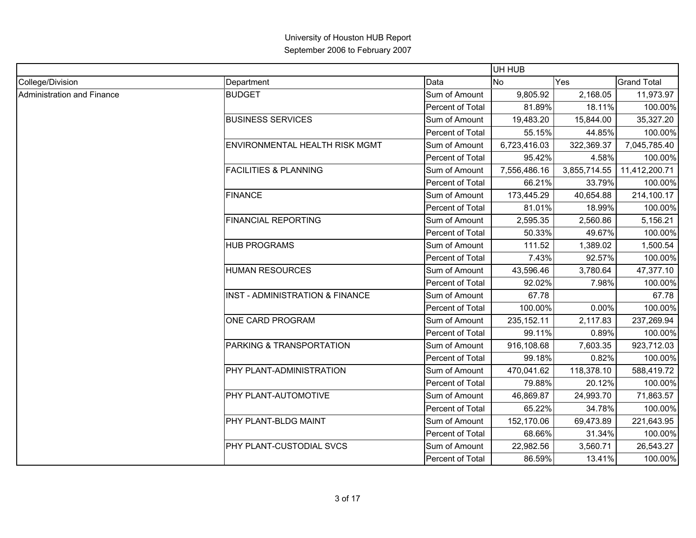|                            |                                     |                  | UH HUB       |              |                    |
|----------------------------|-------------------------------------|------------------|--------------|--------------|--------------------|
| College/Division           | Department                          | Data             | <b>No</b>    | Yes          | <b>Grand Total</b> |
| Administration and Finance | <b>BUDGET</b>                       | Sum of Amount    | 9,805.92     | 2,168.05     | 11,973.97          |
|                            |                                     | Percent of Total | 81.89%       | 18.11%       | 100.00%            |
|                            | <b>BUSINESS SERVICES</b>            | Sum of Amount    | 19,483.20    | 15,844.00    | 35,327.20          |
|                            |                                     | Percent of Total | 55.15%       | 44.85%       | 100.00%            |
|                            | ENVIRONMENTAL HEALTH RISK MGMT      | Sum of Amount    | 6,723,416.03 | 322,369.37   | 7,045,785.40       |
|                            |                                     | Percent of Total | 95.42%       | 4.58%        | 100.00%            |
|                            | <b>FACILITIES &amp; PLANNING</b>    | Sum of Amount    | 7,556,486.16 | 3,855,714.55 | 11,412,200.71      |
|                            |                                     | Percent of Total | 66.21%       | 33.79%       | 100.00%            |
|                            | <b>FINANCE</b>                      | Sum of Amount    | 173,445.29   | 40,654.88    | 214,100.17         |
|                            |                                     | Percent of Total | 81.01%       | 18.99%       | 100.00%            |
|                            | <b>FINANCIAL REPORTING</b>          | Sum of Amount    | 2,595.35     | 2,560.86     | 5,156.21           |
|                            |                                     | Percent of Total | 50.33%       | 49.67%       | 100.00%            |
|                            | <b>HUB PROGRAMS</b>                 | Sum of Amount    | 111.52       | 1,389.02     | 1,500.54           |
|                            |                                     | Percent of Total | 7.43%        | 92.57%       | 100.00%            |
|                            | <b>HUMAN RESOURCES</b>              | Sum of Amount    | 43,596.46    | 3,780.64     | 47,377.10          |
|                            |                                     | Percent of Total | 92.02%       | 7.98%        | 100.00%            |
|                            | INST - ADMINISTRATION & FINANCE     | Sum of Amount    | 67.78        |              | 67.78              |
|                            |                                     | Percent of Total | 100.00%      | 0.00%        | 100.00%            |
|                            | ONE CARD PROGRAM                    | Sum of Amount    | 235, 152. 11 | 2,117.83     | 237,269.94         |
|                            |                                     | Percent of Total | 99.11%       | 0.89%        | 100.00%            |
|                            | <b>PARKING &amp; TRANSPORTATION</b> | Sum of Amount    | 916,108.68   | 7,603.35     | 923,712.03         |
|                            |                                     | Percent of Total | 99.18%       | 0.82%        | 100.00%            |
|                            | PHY PLANT-ADMINISTRATION            | Sum of Amount    | 470,041.62   | 118,378.10   | 588,419.72         |
|                            |                                     | Percent of Total | 79.88%       | 20.12%       | 100.00%            |
|                            | PHY PLANT-AUTOMOTIVE                | Sum of Amount    | 46,869.87    | 24,993.70    | 71,863.57          |
|                            |                                     | Percent of Total | 65.22%       | 34.78%       | 100.00%            |
|                            | PHY PLANT-BLDG MAINT                | Sum of Amount    | 152,170.06   | 69,473.89    | 221,643.95         |
|                            |                                     | Percent of Total | 68.66%       | 31.34%       | 100.00%            |
|                            | <b>PHY PLANT-CUSTODIAL SVCS</b>     | Sum of Amount    | 22,982.56    | 3,560.71     | 26,543.27          |
|                            |                                     | Percent of Total | 86.59%       | 13.41%       | 100.00%            |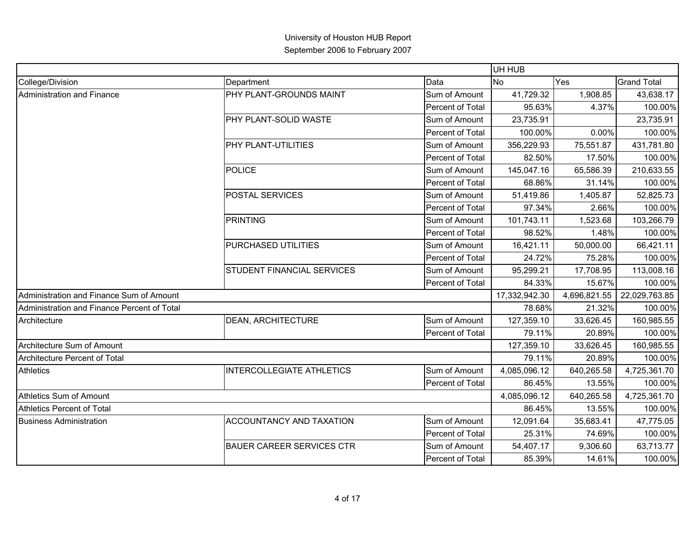|                                             |                                   |                         | UH HUB        |              |                    |
|---------------------------------------------|-----------------------------------|-------------------------|---------------|--------------|--------------------|
| College/Division                            | Department                        | Data                    | <b>No</b>     | Yes          | <b>Grand Total</b> |
| Administration and Finance                  | PHY PLANT-GROUNDS MAINT           | Sum of Amount           | 41,729.32     | 1,908.85     | 43,638.17          |
|                                             |                                   | Percent of Total        | 95.63%        | 4.37%        | 100.00%            |
|                                             | PHY PLANT-SOLID WASTE             | Sum of Amount           | 23,735.91     |              | 23,735.91          |
|                                             |                                   | Percent of Total        | 100.00%       | 0.00%        | 100.00%            |
|                                             | PHY PLANT-UTILITIES               | Sum of Amount           | 356,229.93    | 75,551.87    | 431,781.80         |
|                                             |                                   | Percent of Total        | 82.50%        | 17.50%       | 100.00%            |
|                                             | <b>POLICE</b>                     | Sum of Amount           | 145,047.16    | 65,586.39    | 210,633.55         |
|                                             |                                   | Percent of Total        | 68.86%        | 31.14%       | 100.00%            |
|                                             | POSTAL SERVICES                   | Sum of Amount           | 51,419.86     | 1,405.87     | 52,825.73          |
|                                             |                                   | Percent of Total        | 97.34%        | 2.66%        | 100.00%            |
|                                             | <b>PRINTING</b>                   | Sum of Amount           | 101,743.11    | 1,523.68     | 103,266.79         |
|                                             |                                   | Percent of Total        | 98.52%        | 1.48%        | 100.00%            |
|                                             | PURCHASED UTILITIES               | Sum of Amount           | 16,421.11     | 50,000.00    | 66,421.11          |
|                                             |                                   | Percent of Total        | 24.72%        | 75.28%       | 100.00%            |
|                                             | <b>STUDENT FINANCIAL SERVICES</b> | Sum of Amount           | 95,299.21     | 17,708.95    | 113,008.16         |
|                                             |                                   | Percent of Total        | 84.33%        | 15.67%       | 100.00%            |
| Administration and Finance Sum of Amount    |                                   |                         | 17,332,942.30 | 4,696,821.55 | 22,029,763.85      |
| Administration and Finance Percent of Total |                                   |                         | 78.68%        | 21.32%       | 100.00%            |
| Architecture                                | <b>DEAN, ARCHITECTURE</b>         | Sum of Amount           | 127,359.10    | 33,626.45    | 160,985.55         |
|                                             |                                   | Percent of Total        | 79.11%        | 20.89%       | 100.00%            |
| Architecture Sum of Amount                  |                                   |                         | 127,359.10    | 33,626.45    | 160,985.55         |
| Architecture Percent of Total               |                                   |                         | 79.11%        | 20.89%       | 100.00%            |
| <b>Athletics</b>                            | <b>INTERCOLLEGIATE ATHLETICS</b>  | Sum of Amount           | 4,085,096.12  | 640,265.58   | 4,725,361.70       |
|                                             |                                   | Percent of Total        | 86.45%        | 13.55%       | 100.00%            |
| Athletics Sum of Amount                     |                                   |                         | 4,085,096.12  | 640,265.58   | 4,725,361.70       |
| <b>Athletics Percent of Total</b>           |                                   |                         | 86.45%        | 13.55%       | 100.00%            |
| <b>Business Administration</b>              | <b>ACCOUNTANCY AND TAXATION</b>   | Sum of Amount           | 12,091.64     | 35,683.41    | 47,775.05          |
|                                             |                                   | Percent of Total        | 25.31%        | 74.69%       | 100.00%            |
|                                             | <b>BAUER CAREER SERVICES CTR</b>  | Sum of Amount           | 54,407.17     | 9,306.60     | 63,713.77          |
|                                             |                                   | <b>Percent of Total</b> | 85.39%        | 14.61%       | 100.00%            |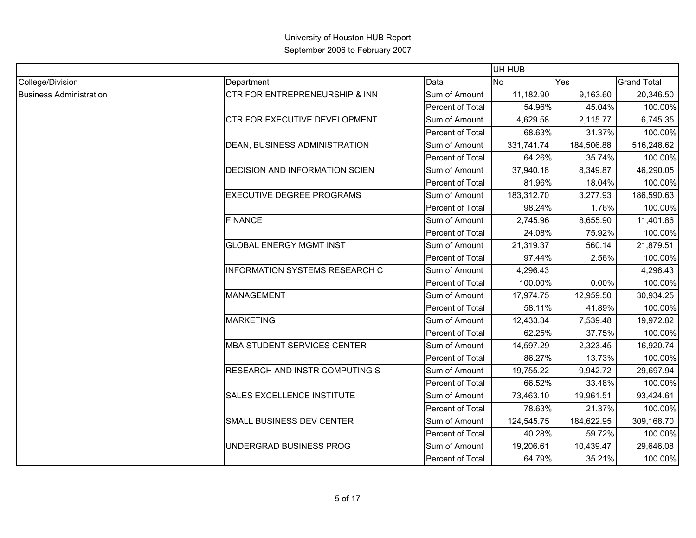|                                |                                           |                  | UH HUB     |            |                    |
|--------------------------------|-------------------------------------------|------------------|------------|------------|--------------------|
| College/Division               | Department                                | Data             | No.        | Yes        | <b>Grand Total</b> |
| <b>Business Administration</b> | <b>CTR FOR ENTREPRENEURSHIP &amp; INN</b> | Sum of Amount    | 11,182.90  | 9,163.60   | 20,346.50          |
|                                |                                           | Percent of Total | 54.96%     | 45.04%     | 100.00%            |
|                                | <b>CTR FOR EXECUTIVE DEVELOPMENT</b>      | Sum of Amount    | 4,629.58   | 2,115.77   | 6,745.35           |
|                                |                                           | Percent of Total | 68.63%     | 31.37%     | 100.00%            |
|                                | DEAN, BUSINESS ADMINISTRATION             | Sum of Amount    | 331,741.74 | 184,506.88 | 516,248.62         |
|                                |                                           | Percent of Total | 64.26%     | 35.74%     | 100.00%            |
|                                | <b>DECISION AND INFORMATION SCIEN</b>     | Sum of Amount    | 37,940.18  | 8,349.87   | 46,290.05          |
|                                |                                           | Percent of Total | 81.96%     | 18.04%     | 100.00%            |
|                                | <b>EXECUTIVE DEGREE PROGRAMS</b>          | Sum of Amount    | 183,312.70 | 3,277.93   | 186,590.63         |
|                                |                                           | Percent of Total | 98.24%     | 1.76%      | 100.00%            |
|                                | <b>FINANCE</b>                            | Sum of Amount    | 2,745.96   | 8,655.90   | 11,401.86          |
|                                |                                           | Percent of Total | 24.08%     | 75.92%     | 100.00%            |
|                                | <b>GLOBAL ENERGY MGMT INST</b>            | Sum of Amount    | 21,319.37  | 560.14     | 21,879.51          |
|                                |                                           | Percent of Total | 97.44%     | 2.56%      | 100.00%            |
|                                | <b>INFORMATION SYSTEMS RESEARCH C</b>     | Sum of Amount    | 4,296.43   |            | 4,296.43           |
|                                |                                           | Percent of Total | 100.00%    | 0.00%      | 100.00%            |
|                                | <b>MANAGEMENT</b>                         | Sum of Amount    | 17,974.75  | 12,959.50  | 30,934.25          |
|                                |                                           | Percent of Total | 58.11%     | 41.89%     | 100.00%            |
|                                | <b>MARKETING</b>                          | Sum of Amount    | 12,433.34  | 7,539.48   | 19,972.82          |
|                                |                                           | Percent of Total | 62.25%     | 37.75%     | 100.00%            |
|                                | <b>MBA STUDENT SERVICES CENTER</b>        | Sum of Amount    | 14,597.29  | 2,323.45   | 16,920.74          |
|                                |                                           | Percent of Total | 86.27%     | 13.73%     | 100.00%            |
|                                | <b>RESEARCH AND INSTR COMPUTING S</b>     | Sum of Amount    | 19,755.22  | 9,942.72   | 29,697.94          |
|                                |                                           | Percent of Total | 66.52%     | 33.48%     | 100.00%            |
|                                | <b>SALES EXCELLENCE INSTITUTE</b>         | Sum of Amount    | 73,463.10  | 19,961.51  | 93,424.61          |
|                                |                                           | Percent of Total | 78.63%     | 21.37%     | 100.00%            |
|                                | SMALL BUSINESS DEV CENTER                 | Sum of Amount    | 124,545.75 | 184,622.95 | 309,168.70         |
|                                |                                           | Percent of Total | 40.28%     | 59.72%     | 100.00%            |
|                                | UNDERGRAD BUSINESS PROG                   | Sum of Amount    | 19,206.61  | 10,439.47  | 29,646.08          |
|                                |                                           | Percent of Total | 64.79%     | 35.21%     | 100.00%            |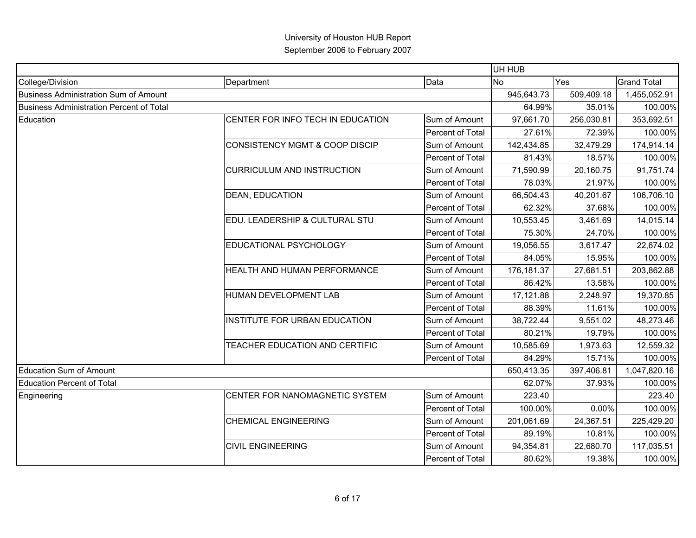|                                              |                                           |                         | UH HUB     |            |                    |
|----------------------------------------------|-------------------------------------------|-------------------------|------------|------------|--------------------|
| College/Division                             | Department                                | Data                    | <b>No</b>  | Yes        | <b>Grand Total</b> |
| <b>Business Administration Sum of Amount</b> |                                           |                         | 945,643.73 | 509,409.18 | 1,455,052.91       |
| Business Administration Percent of Total     |                                           |                         | 64.99%     | 35.01%     | 100.00%            |
| Education                                    | CENTER FOR INFO TECH IN EDUCATION         | Sum of Amount           | 97,661.70  | 256,030.81 | 353,692.51         |
|                                              |                                           | <b>Percent of Total</b> | 27.61%     | 72.39%     | 100.00%            |
|                                              | <b>CONSISTENCY MGMT &amp; COOP DISCIP</b> | Sum of Amount           | 142,434.85 | 32,479.29  | 174,914.14         |
|                                              |                                           | Percent of Total        | 81.43%     | 18.57%     | 100.00%            |
|                                              | <b>CURRICULUM AND INSTRUCTION</b>         | Sum of Amount           | 71,590.99  | 20,160.75  | 91,751.74          |
|                                              |                                           | Percent of Total        | 78.03%     | 21.97%     | 100.00%            |
|                                              | <b>DEAN, EDUCATION</b>                    | Sum of Amount           | 66,504.43  | 40,201.67  | 106,706.10         |
|                                              |                                           | Percent of Total        | 62.32%     | 37.68%     | 100.00%            |
|                                              | EDU. LEADERSHIP & CULTURAL STU            | Sum of Amount           | 10,553.45  | 3,461.69   | 14,015.14          |
|                                              |                                           | Percent of Total        | 75.30%     | 24.70%     | 100.00%            |
|                                              | EDUCATIONAL PSYCHOLOGY                    | Sum of Amount           | 19,056.55  | 3,617.47   | 22,674.02          |
|                                              |                                           | Percent of Total        | 84.05%     | 15.95%     | 100.00%            |
|                                              | HEALTH AND HUMAN PERFORMANCE              | Sum of Amount           | 176,181.37 | 27,681.51  | 203,862.88         |
|                                              |                                           | Percent of Total        | 86.42%     | 13.58%     | 100.00%            |
|                                              | HUMAN DEVELOPMENT LAB                     | Sum of Amount           | 17,121.88  | 2,248.97   | 19,370.85          |
|                                              |                                           | Percent of Total        | 88.39%     | 11.61%     | 100.00%            |
|                                              | INSTITUTE FOR URBAN EDUCATION             | Sum of Amount           | 38,722.44  | 9,551.02   | 48,273.46          |
|                                              |                                           | Percent of Total        | 80.21%     | 19.79%     | 100.00%            |
|                                              | TEACHER EDUCATION AND CERTIFIC            | Sum of Amount           | 10,585.69  | 1,973.63   | 12,559.32          |
|                                              |                                           | Percent of Total        | 84.29%     | 15.71%     | 100.00%            |
| <b>Education Sum of Amount</b>               |                                           |                         | 650,413.35 | 397,406.81 | 1,047,820.16       |
| <b>Education Percent of Total</b>            |                                           |                         | 62.07%     | 37.93%     | 100.00%            |
| Engineering                                  | CENTER FOR NANOMAGNETIC SYSTEM            | Sum of Amount           | 223.40     |            | 223.40             |
|                                              |                                           | Percent of Total        | 100.00%    | 0.00%      | 100.00%            |
|                                              | <b>CHEMICAL ENGINEERING</b>               | Sum of Amount           | 201,061.69 | 24,367.51  | 225,429.20         |
|                                              |                                           | Percent of Total        | 89.19%     | 10.81%     | 100.00%            |
|                                              | <b>CIVIL ENGINEERING</b>                  | Sum of Amount           | 94,354.81  | 22,680.70  | 117,035.51         |
|                                              |                                           | Percent of Total        | 80.62%     | 19.38%     | 100.00%            |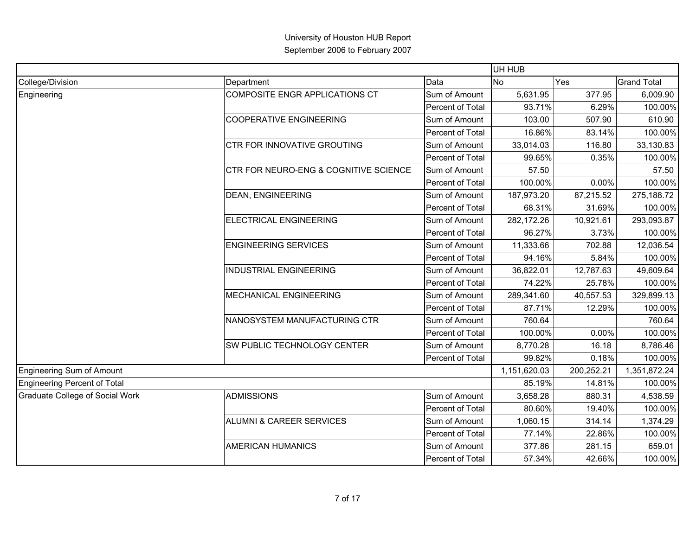|                                 |                                       |                  | UH HUB       |            |                    |
|---------------------------------|---------------------------------------|------------------|--------------|------------|--------------------|
| College/Division                | Department                            | Data             | <b>No</b>    | Yes        | <b>Grand Total</b> |
| Engineering                     | COMPOSITE ENGR APPLICATIONS CT        | Sum of Amount    | 5,631.95     | 377.95     | 6,009.90           |
|                                 |                                       | Percent of Total | 93.71%       | 6.29%      | 100.00%            |
|                                 | <b>COOPERATIVE ENGINEERING</b>        | Sum of Amount    | 103.00       | 507.90     | 610.90             |
|                                 |                                       | Percent of Total | 16.86%       | 83.14%     | 100.00%            |
|                                 | <b>CTR FOR INNOVATIVE GROUTING</b>    | Sum of Amount    | 33,014.03    | 116.80     | 33,130.83          |
|                                 |                                       | Percent of Total | 99.65%       | 0.35%      | 100.00%            |
|                                 | CTR FOR NEURO-ENG & COGNITIVE SCIENCE | Sum of Amount    | 57.50        |            | 57.50              |
|                                 |                                       | Percent of Total | 100.00%      | 0.00%      | 100.00%            |
|                                 | <b>DEAN, ENGINEERING</b>              | Sum of Amount    | 187,973.20   | 87,215.52  | 275,188.72         |
|                                 |                                       | Percent of Total | 68.31%       | 31.69%     | 100.00%            |
|                                 | ELECTRICAL ENGINEERING                | Sum of Amount    | 282,172.26   | 10,921.61  | 293,093.87         |
|                                 |                                       | Percent of Total | 96.27%       | 3.73%      | 100.00%            |
|                                 | <b>ENGINEERING SERVICES</b>           | Sum of Amount    | 11,333.66    | 702.88     | 12,036.54          |
|                                 |                                       | Percent of Total | 94.16%       | 5.84%      | 100.00%            |
|                                 | <b>INDUSTRIAL ENGINEERING</b>         | Sum of Amount    | 36,822.01    | 12,787.63  | 49,609.64          |
|                                 |                                       | Percent of Total | 74.22%       | 25.78%     | 100.00%            |
|                                 | <b>MECHANICAL ENGINEERING</b>         | Sum of Amount    | 289,341.60   | 40,557.53  | 329,899.13         |
|                                 |                                       | Percent of Total | 87.71%       | 12.29%     | 100.00%            |
|                                 | NANOSYSTEM MANUFACTURING CTR          | Sum of Amount    | 760.64       |            | 760.64             |
|                                 |                                       | Percent of Total | 100.00%      | 0.00%      | 100.00%            |
|                                 | <b>SW PUBLIC TECHNOLOGY CENTER</b>    | Sum of Amount    | 8,770.28     | 16.18      | 8,786.46           |
|                                 |                                       | Percent of Total | 99.82%       | 0.18%      | 100.00%            |
| Engineering Sum of Amount       |                                       |                  | 1,151,620.03 | 200,252.21 | 1,351,872.24       |
| Engineering Percent of Total    |                                       |                  | 85.19%       | 14.81%     | 100.00%            |
| Graduate College of Social Work | <b>ADMISSIONS</b>                     | Sum of Amount    | 3,658.28     | 880.31     | 4,538.59           |
|                                 |                                       | Percent of Total | 80.60%       | 19.40%     | 100.00%            |
|                                 | ALUMNI & CAREER SERVICES              | Sum of Amount    | 1,060.15     | 314.14     | 1,374.29           |
|                                 |                                       | Percent of Total | 77.14%       | 22.86%     | 100.00%            |
|                                 | <b>AMERICAN HUMANICS</b>              | Sum of Amount    | 377.86       | 281.15     | 659.01             |
|                                 |                                       | Percent of Total | 57.34%       | 42.66%     | 100.00%            |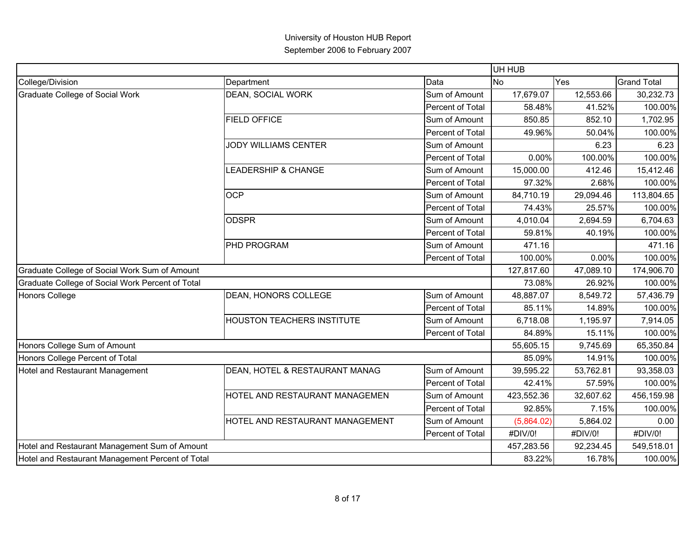|                                                  |                                   |                  | UH HUB     |           |                    |
|--------------------------------------------------|-----------------------------------|------------------|------------|-----------|--------------------|
| College/Division                                 | Department                        | Data             | <b>No</b>  | Yes       | <b>Grand Total</b> |
| <b>Graduate College of Social Work</b>           | <b>DEAN, SOCIAL WORK</b>          | Sum of Amount    | 17,679.07  | 12,553.66 | 30,232.73          |
|                                                  |                                   | Percent of Total | 58.48%     | 41.52%    | 100.00%            |
|                                                  | <b>FIELD OFFICE</b>               | Sum of Amount    | 850.85     | 852.10    | 1,702.95           |
|                                                  |                                   | Percent of Total | 49.96%     | 50.04%    | 100.00%            |
|                                                  | JODY WILLIAMS CENTER              | Sum of Amount    |            | 6.23      | 6.23               |
|                                                  |                                   | Percent of Total | 0.00%      | 100.00%   | 100.00%            |
|                                                  | <b>LEADERSHIP &amp; CHANGE</b>    | Sum of Amount    | 15,000.00  | 412.46    | 15,412.46          |
|                                                  |                                   | Percent of Total | 97.32%     | 2.68%     | 100.00%            |
|                                                  | <b>OCP</b>                        | Sum of Amount    | 84,710.19  | 29,094.46 | 113,804.65         |
|                                                  |                                   | Percent of Total | 74.43%     | 25.57%    | 100.00%            |
|                                                  | <b>ODSPR</b>                      | Sum of Amount    | 4,010.04   | 2,694.59  | 6,704.63           |
|                                                  |                                   | Percent of Total | 59.81%     | 40.19%    | 100.00%            |
|                                                  | <b>PHD PROGRAM</b>                | Sum of Amount    | 471.16     |           | 471.16             |
|                                                  |                                   | Percent of Total | 100.00%    | 0.00%     | 100.00%            |
| Graduate College of Social Work Sum of Amount    |                                   |                  | 127,817.60 | 47,089.10 | 174,906.70         |
| Graduate College of Social Work Percent of Total |                                   |                  | 73.08%     | 26.92%    | 100.00%            |
| <b>Honors College</b>                            | DEAN, HONORS COLLEGE              | Sum of Amount    | 48,887.07  | 8,549.72  | 57,436.79          |
|                                                  |                                   | Percent of Total | 85.11%     | 14.89%    | 100.00%            |
|                                                  | <b>HOUSTON TEACHERS INSTITUTE</b> | Sum of Amount    | 6,718.08   | 1,195.97  | 7,914.05           |
|                                                  |                                   | Percent of Total | 84.89%     | 15.11%    | 100.00%            |
| Honors College Sum of Amount                     |                                   |                  | 55,605.15  | 9,745.69  | 65,350.84          |
| Honors College Percent of Total                  |                                   |                  | 85.09%     | 14.91%    | 100.00%            |
| Hotel and Restaurant Management                  | DEAN, HOTEL & RESTAURANT MANAG    | Sum of Amount    | 39,595.22  | 53,762.81 | 93,358.03          |
|                                                  |                                   | Percent of Total | 42.41%     | 57.59%    | 100.00%            |
|                                                  | HOTEL AND RESTAURANT MANAGEMEN    | Sum of Amount    | 423,552.36 | 32,607.62 | 456,159.98         |
|                                                  |                                   | Percent of Total | 92.85%     | 7.15%     | 100.00%            |
|                                                  | HOTEL AND RESTAURANT MANAGEMENT   | Sum of Amount    | (5,864.02) | 5,864.02  | 0.00               |
|                                                  |                                   | Percent of Total | #DIV/0!    | #DIV/0!   | #DIV/0!            |
| Hotel and Restaurant Management Sum of Amount    |                                   |                  | 457,283.56 | 92,234.45 | 549,518.01         |
| Hotel and Restaurant Management Percent of Total |                                   |                  | 83.22%     | 16.78%    | 100.00%            |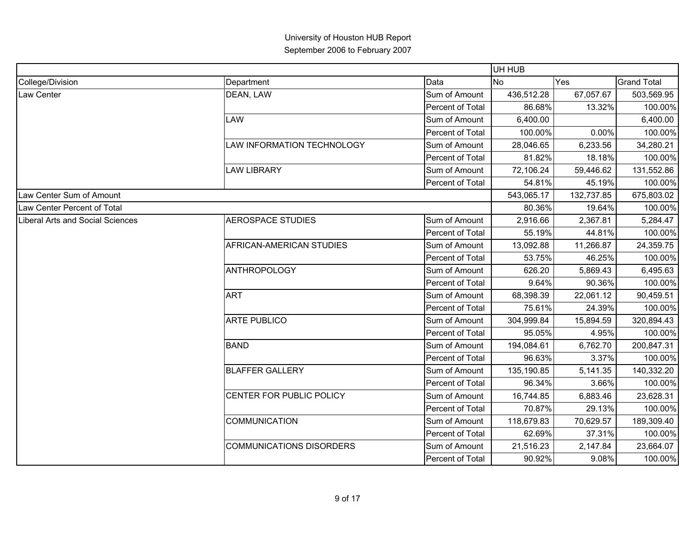|                                         |                                 |                         | UH HUB     |            |                    |
|-----------------------------------------|---------------------------------|-------------------------|------------|------------|--------------------|
| College/Division                        | Department                      | Data                    | No         | Yes        | <b>Grand Total</b> |
| Law Center                              | DEAN, LAW                       | Sum of Amount           | 436,512.28 | 67,057.67  | 503,569.95         |
|                                         |                                 | Percent of Total        | 86.68%     | 13.32%     | 100.00%            |
|                                         | <b>LAW</b>                      | Sum of Amount           | 6,400.00   |            | 6,400.00           |
|                                         |                                 | <b>Percent of Total</b> | 100.00%    | 0.00%      | 100.00%            |
|                                         | LAW INFORMATION TECHNOLOGY      | Sum of Amount           | 28,046.65  | 6,233.56   | 34,280.21          |
|                                         |                                 | Percent of Total        | 81.82%     | 18.18%     | 100.00%            |
|                                         | <b>LAW LIBRARY</b>              | Sum of Amount           | 72,106.24  | 59,446.62  | 131,552.86         |
|                                         |                                 | Percent of Total        | 54.81%     | 45.19%     | 100.00%            |
| Law Center Sum of Amount                |                                 |                         | 543,065.17 | 132,737.85 | 675,803.02         |
| Law Center Percent of Total             |                                 |                         | 80.36%     | 19.64%     | 100.00%            |
| <b>Liberal Arts and Social Sciences</b> | <b>AEROSPACE STUDIES</b>        | Sum of Amount           | 2,916.66   | 2,367.81   | 5,284.47           |
|                                         |                                 | Percent of Total        | 55.19%     | 44.81%     | 100.00%            |
|                                         | AFRICAN-AMERICAN STUDIES        | Sum of Amount           | 13,092.88  | 11,266.87  | 24,359.75          |
|                                         |                                 | Percent of Total        | 53.75%     | 46.25%     | 100.00%            |
|                                         | <b>ANTHROPOLOGY</b>             | Sum of Amount           | 626.20     | 5,869.43   | 6,495.63           |
|                                         |                                 | Percent of Total        | 9.64%      | 90.36%     | 100.00%            |
|                                         | <b>ART</b>                      | Sum of Amount           | 68,398.39  | 22,061.12  | 90,459.51          |
|                                         |                                 | <b>Percent of Total</b> | 75.61%     | 24.39%     | 100.00%            |
|                                         | <b>ARTE PUBLICO</b>             | Sum of Amount           | 304,999.84 | 15,894.59  | 320,894.43         |
|                                         |                                 | Percent of Total        | 95.05%     | 4.95%      | 100.00%            |
|                                         | <b>BAND</b>                     | Sum of Amount           | 194,084.61 | 6,762.70   | 200,847.31         |
|                                         |                                 | Percent of Total        | 96.63%     | 3.37%      | 100.00%            |
|                                         | <b>BLAFFER GALLERY</b>          | Sum of Amount           | 135,190.85 | 5,141.35   | 140,332.20         |
|                                         |                                 | Percent of Total        | 96.34%     | 3.66%      | 100.00%            |
|                                         | CENTER FOR PUBLIC POLICY        | Sum of Amount           | 16,744.85  | 6,883.46   | 23,628.31          |
|                                         |                                 | Percent of Total        | 70.87%     | 29.13%     | 100.00%            |
|                                         | <b>COMMUNICATION</b>            | Sum of Amount           | 118,679.83 | 70,629.57  | 189,309.40         |
|                                         |                                 | Percent of Total        | 62.69%     | 37.31%     | 100.00%            |
|                                         | <b>COMMUNICATIONS DISORDERS</b> | Sum of Amount           | 21,516.23  | 2,147.84   | 23,664.07          |
|                                         |                                 | Percent of Total        | 90.92%     | 9.08%      | 100.00%            |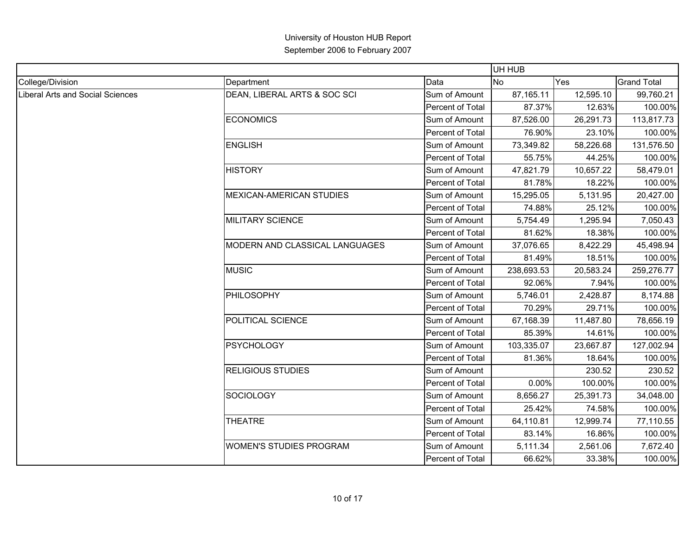|                                         |                                 |                         | UH HUB     |           |                    |
|-----------------------------------------|---------------------------------|-------------------------|------------|-----------|--------------------|
| College/Division                        | Department                      | Data                    | <b>No</b>  | Yes       | <b>Grand Total</b> |
| <b>Liberal Arts and Social Sciences</b> | DEAN, LIBERAL ARTS & SOC SCI    | Sum of Amount           | 87,165.11  | 12,595.10 | 99,760.21          |
|                                         |                                 | Percent of Total        | 87.37%     | 12.63%    | 100.00%            |
|                                         | <b>ECONOMICS</b>                | Sum of Amount           | 87,526.00  | 26,291.73 | 113,817.73         |
|                                         |                                 | Percent of Total        | 76.90%     | 23.10%    | 100.00%            |
|                                         | <b>ENGLISH</b>                  | Sum of Amount           | 73,349.82  | 58,226.68 | 131,576.50         |
|                                         |                                 | Percent of Total        | 55.75%     | 44.25%    | 100.00%            |
|                                         | <b>HISTORY</b>                  | Sum of Amount           | 47,821.79  | 10,657.22 | 58,479.01          |
|                                         |                                 | Percent of Total        | 81.78%     | 18.22%    | 100.00%            |
|                                         | <b>MEXICAN-AMERICAN STUDIES</b> | Sum of Amount           | 15,295.05  | 5,131.95  | 20,427.00          |
|                                         |                                 | Percent of Total        | 74.88%     | 25.12%    | 100.00%            |
|                                         | <b>MILITARY SCIENCE</b>         | Sum of Amount           | 5,754.49   | 1,295.94  | 7,050.43           |
|                                         |                                 | Percent of Total        | 81.62%     | 18.38%    | 100.00%            |
|                                         | MODERN AND CLASSICAL LANGUAGES  | Sum of Amount           | 37,076.65  | 8,422.29  | 45,498.94          |
|                                         |                                 | Percent of Total        | 81.49%     | 18.51%    | 100.00%            |
|                                         | <b>MUSIC</b>                    | Sum of Amount           | 238,693.53 | 20,583.24 | 259,276.77         |
|                                         |                                 | Percent of Total        | 92.06%     | 7.94%     | 100.00%            |
|                                         | PHILOSOPHY                      | Sum of Amount           | 5,746.01   | 2,428.87  | 8,174.88           |
|                                         |                                 | <b>Percent of Total</b> | 70.29%     | 29.71%    | 100.00%            |
|                                         | POLITICAL SCIENCE               | Sum of Amount           | 67,168.39  | 11,487.80 | 78,656.19          |
|                                         |                                 | Percent of Total        | 85.39%     | 14.61%    | 100.00%            |
|                                         | <b>PSYCHOLOGY</b>               | Sum of Amount           | 103,335.07 | 23,667.87 | 127,002.94         |
|                                         |                                 | Percent of Total        | 81.36%     | 18.64%    | 100.00%            |
|                                         | <b>RELIGIOUS STUDIES</b>        | Sum of Amount           |            | 230.52    | 230.52             |
|                                         |                                 | Percent of Total        | 0.00%      | 100.00%   | 100.00%            |
|                                         | <b>SOCIOLOGY</b>                | Sum of Amount           | 8,656.27   | 25,391.73 | 34,048.00          |
|                                         |                                 | Percent of Total        | 25.42%     | 74.58%    | 100.00%            |
|                                         | <b>THEATRE</b>                  | Sum of Amount           | 64,110.81  | 12,999.74 | 77,110.55          |
|                                         |                                 | Percent of Total        | 83.14%     | 16.86%    | 100.00%            |
|                                         | <b>WOMEN'S STUDIES PROGRAM</b>  | Sum of Amount           | 5,111.34   | 2,561.06  | 7,672.40           |
|                                         |                                 | Percent of Total        | 66.62%     | 33.38%    | 100.00%            |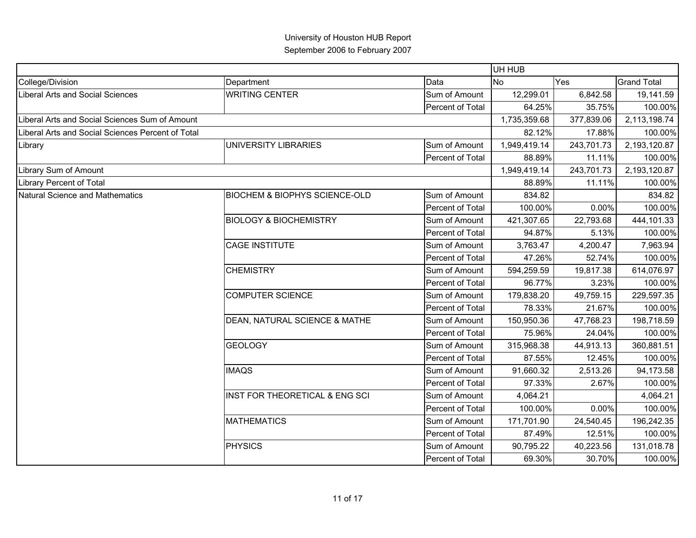|                                                   |                                          |                  | UH HUB       |            |                    |
|---------------------------------------------------|------------------------------------------|------------------|--------------|------------|--------------------|
| College/Division                                  | Department                               | Data             | No           | Yes        | <b>Grand Total</b> |
| Liberal Arts and Social Sciences                  | <b>WRITING CENTER</b>                    | Sum of Amount    | 12,299.01    | 6,842.58   | 19,141.59          |
|                                                   |                                          | Percent of Total | 64.25%       | 35.75%     | 100.00%            |
| Liberal Arts and Social Sciences Sum of Amount    |                                          |                  | 1,735,359.68 | 377,839.06 | 2,113,198.74       |
| Liberal Arts and Social Sciences Percent of Total |                                          |                  | 82.12%       | 17.88%     | 100.00%            |
| Library                                           | UNIVERSITY LIBRARIES                     | Sum of Amount    | 1,949,419.14 | 243,701.73 | 2,193,120.87       |
|                                                   |                                          | Percent of Total | 88.89%       | 11.11%     | 100.00%            |
| Library Sum of Amount                             |                                          |                  | 1,949,419.14 | 243,701.73 | 2,193,120.87       |
| <b>Library Percent of Total</b>                   |                                          |                  | 88.89%       | 11.11%     | 100.00%            |
| Natural Science and Mathematics                   | <b>BIOCHEM &amp; BIOPHYS SCIENCE-OLD</b> | Sum of Amount    | 834.82       |            | 834.82             |
|                                                   |                                          | Percent of Total | 100.00%      | 0.00%      | 100.00%            |
|                                                   | <b>BIOLOGY &amp; BIOCHEMISTRY</b>        | Sum of Amount    | 421,307.65   | 22,793.68  | 444,101.33         |
|                                                   |                                          | Percent of Total | 94.87%       | 5.13%      | 100.00%            |
|                                                   | <b>CAGE INSTITUTE</b>                    | Sum of Amount    | 3,763.47     | 4,200.47   | 7,963.94           |
|                                                   |                                          | Percent of Total | 47.26%       | 52.74%     | 100.00%            |
|                                                   | <b>CHEMISTRY</b>                         | Sum of Amount    | 594,259.59   | 19,817.38  | 614,076.97         |
|                                                   |                                          | Percent of Total | 96.77%       | 3.23%      | 100.00%            |
|                                                   | <b>COMPUTER SCIENCE</b>                  | Sum of Amount    | 179,838.20   | 49,759.15  | 229,597.35         |
|                                                   |                                          | Percent of Total | 78.33%       | 21.67%     | 100.00%            |
|                                                   | DEAN, NATURAL SCIENCE & MATHE            | Sum of Amount    | 150,950.36   | 47,768.23  | 198,718.59         |
|                                                   |                                          | Percent of Total | 75.96%       | 24.04%     | 100.00%            |
|                                                   | <b>GEOLOGY</b>                           | Sum of Amount    | 315,968.38   | 44,913.13  | 360,881.51         |
|                                                   |                                          | Percent of Total | 87.55%       | 12.45%     | 100.00%            |
|                                                   | <b>IMAQS</b>                             | Sum of Amount    | 91,660.32    | 2,513.26   | 94,173.58          |
|                                                   |                                          | Percent of Total | 97.33%       | 2.67%      | 100.00%            |
|                                                   | INST FOR THEORETICAL & ENG SCI           | Sum of Amount    | 4,064.21     |            | 4,064.21           |
|                                                   |                                          | Percent of Total | 100.00%      | 0.00%      | 100.00%            |
|                                                   | <b>MATHEMATICS</b>                       | Sum of Amount    | 171,701.90   | 24,540.45  | 196,242.35         |
|                                                   |                                          | Percent of Total | 87.49%       | 12.51%     | 100.00%            |
|                                                   | <b>PHYSICS</b>                           | Sum of Amount    | 90,795.22    | 40,223.56  | 131,018.78         |
|                                                   |                                          | Percent of Total | 69.30%       | 30.70%     | 100.00%            |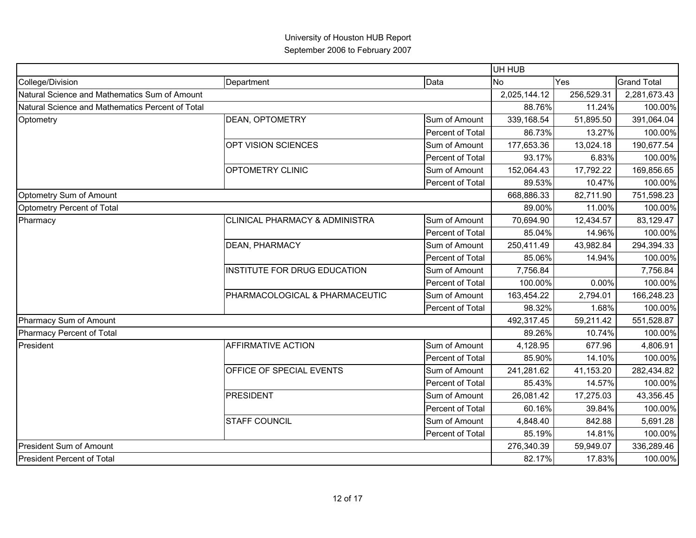| College/Division<br>Data<br>Department<br>Natural Science and Mathematics Sum of Amount<br>Natural Science and Mathematics Percent of Total<br><b>DEAN, OPTOMETRY</b><br>Sum of Amount<br>Optometry<br>Percent of Total<br>OPT VISION SCIENCES<br>Sum of Amount<br>Percent of Total<br><b>OPTOMETRY CLINIC</b><br>Sum of Amount<br>Percent of Total<br>Optometry Sum of Amount<br>Optometry Percent of Total<br><b>CLINICAL PHARMACY &amp; ADMINISTRA</b><br>Sum of Amount<br>Pharmacy<br>Percent of Total<br><b>DEAN, PHARMACY</b><br>Sum of Amount<br>Percent of Total<br>INSTITUTE FOR DRUG EDUCATION<br>Sum of Amount<br>Percent of Total<br>PHARMACOLOGICAL & PHARMACEUTIC<br>Sum of Amount<br>Percent of Total | <b>No</b><br>2,025,144.12<br>88.76%<br>339,168.54<br>86.73%<br>177,653.36<br>93.17%<br>152,064.43<br>89.53% | Yes<br>256,529.31<br>11.24%<br>51,895.50<br>13.27%<br>13,024.18<br>6.83%<br>17,792.22 | <b>Grand Total</b><br>2,281,673.43<br>100.00%<br>391,064.04<br>100.00%<br>190,677.54<br>100.00%<br>169,856.65 |
|----------------------------------------------------------------------------------------------------------------------------------------------------------------------------------------------------------------------------------------------------------------------------------------------------------------------------------------------------------------------------------------------------------------------------------------------------------------------------------------------------------------------------------------------------------------------------------------------------------------------------------------------------------------------------------------------------------------------|-------------------------------------------------------------------------------------------------------------|---------------------------------------------------------------------------------------|---------------------------------------------------------------------------------------------------------------|
|                                                                                                                                                                                                                                                                                                                                                                                                                                                                                                                                                                                                                                                                                                                      |                                                                                                             |                                                                                       |                                                                                                               |
|                                                                                                                                                                                                                                                                                                                                                                                                                                                                                                                                                                                                                                                                                                                      |                                                                                                             |                                                                                       |                                                                                                               |
|                                                                                                                                                                                                                                                                                                                                                                                                                                                                                                                                                                                                                                                                                                                      |                                                                                                             |                                                                                       |                                                                                                               |
|                                                                                                                                                                                                                                                                                                                                                                                                                                                                                                                                                                                                                                                                                                                      |                                                                                                             |                                                                                       |                                                                                                               |
|                                                                                                                                                                                                                                                                                                                                                                                                                                                                                                                                                                                                                                                                                                                      |                                                                                                             |                                                                                       |                                                                                                               |
|                                                                                                                                                                                                                                                                                                                                                                                                                                                                                                                                                                                                                                                                                                                      |                                                                                                             |                                                                                       |                                                                                                               |
|                                                                                                                                                                                                                                                                                                                                                                                                                                                                                                                                                                                                                                                                                                                      |                                                                                                             |                                                                                       |                                                                                                               |
|                                                                                                                                                                                                                                                                                                                                                                                                                                                                                                                                                                                                                                                                                                                      |                                                                                                             |                                                                                       |                                                                                                               |
|                                                                                                                                                                                                                                                                                                                                                                                                                                                                                                                                                                                                                                                                                                                      |                                                                                                             | 10.47%                                                                                | 100.00%                                                                                                       |
|                                                                                                                                                                                                                                                                                                                                                                                                                                                                                                                                                                                                                                                                                                                      | 668,886.33                                                                                                  | 82,711.90                                                                             | 751,598.23                                                                                                    |
|                                                                                                                                                                                                                                                                                                                                                                                                                                                                                                                                                                                                                                                                                                                      | 89.00%                                                                                                      | 11.00%                                                                                | 100.00%                                                                                                       |
|                                                                                                                                                                                                                                                                                                                                                                                                                                                                                                                                                                                                                                                                                                                      | 70,694.90                                                                                                   | 12,434.57                                                                             | 83,129.47                                                                                                     |
|                                                                                                                                                                                                                                                                                                                                                                                                                                                                                                                                                                                                                                                                                                                      | 85.04%                                                                                                      | 14.96%                                                                                | 100.00%                                                                                                       |
|                                                                                                                                                                                                                                                                                                                                                                                                                                                                                                                                                                                                                                                                                                                      | 250,411.49                                                                                                  | 43,982.84                                                                             | 294,394.33                                                                                                    |
|                                                                                                                                                                                                                                                                                                                                                                                                                                                                                                                                                                                                                                                                                                                      | 85.06%                                                                                                      | 14.94%                                                                                | 100.00%                                                                                                       |
|                                                                                                                                                                                                                                                                                                                                                                                                                                                                                                                                                                                                                                                                                                                      | 7,756.84                                                                                                    |                                                                                       | 7,756.84                                                                                                      |
|                                                                                                                                                                                                                                                                                                                                                                                                                                                                                                                                                                                                                                                                                                                      | 100.00%                                                                                                     | 0.00%                                                                                 | 100.00%                                                                                                       |
|                                                                                                                                                                                                                                                                                                                                                                                                                                                                                                                                                                                                                                                                                                                      | 163,454.22                                                                                                  | 2,794.01                                                                              | 166,248.23                                                                                                    |
|                                                                                                                                                                                                                                                                                                                                                                                                                                                                                                                                                                                                                                                                                                                      | 98.32%                                                                                                      | 1.68%                                                                                 | 100.00%                                                                                                       |
| Pharmacy Sum of Amount                                                                                                                                                                                                                                                                                                                                                                                                                                                                                                                                                                                                                                                                                               | 492,317.45                                                                                                  | 59,211.42                                                                             | 551,528.87                                                                                                    |
| Pharmacy Percent of Total                                                                                                                                                                                                                                                                                                                                                                                                                                                                                                                                                                                                                                                                                            | 89.26%                                                                                                      | 10.74%                                                                                | 100.00%                                                                                                       |
| <b>AFFIRMATIVE ACTION</b><br>Sum of Amount<br>President                                                                                                                                                                                                                                                                                                                                                                                                                                                                                                                                                                                                                                                              | 4,128.95                                                                                                    | 677.96                                                                                | 4,806.91                                                                                                      |
| Percent of Total                                                                                                                                                                                                                                                                                                                                                                                                                                                                                                                                                                                                                                                                                                     | 85.90%                                                                                                      | 14.10%                                                                                | 100.00%                                                                                                       |
| OFFICE OF SPECIAL EVENTS<br>Sum of Amount                                                                                                                                                                                                                                                                                                                                                                                                                                                                                                                                                                                                                                                                            | 241,281.62                                                                                                  | 41,153.20                                                                             | 282,434.82                                                                                                    |
| Percent of Total                                                                                                                                                                                                                                                                                                                                                                                                                                                                                                                                                                                                                                                                                                     | 85.43%                                                                                                      | 14.57%                                                                                | 100.00%                                                                                                       |
| PRESIDENT<br>Sum of Amount                                                                                                                                                                                                                                                                                                                                                                                                                                                                                                                                                                                                                                                                                           | 26,081.42                                                                                                   | 17,275.03                                                                             | 43,356.45                                                                                                     |
| <b>Percent of Total</b>                                                                                                                                                                                                                                                                                                                                                                                                                                                                                                                                                                                                                                                                                              | 60.16%                                                                                                      | 39.84%                                                                                | 100.00%                                                                                                       |
| <b>STAFF COUNCIL</b><br>Sum of Amount                                                                                                                                                                                                                                                                                                                                                                                                                                                                                                                                                                                                                                                                                | 4,848.40                                                                                                    | 842.88                                                                                | 5,691.28                                                                                                      |
| Percent of Total                                                                                                                                                                                                                                                                                                                                                                                                                                                                                                                                                                                                                                                                                                     | 85.19%                                                                                                      | 14.81%                                                                                | 100.00%                                                                                                       |
| <b>President Sum of Amount</b>                                                                                                                                                                                                                                                                                                                                                                                                                                                                                                                                                                                                                                                                                       | 276,340.39                                                                                                  | 59,949.07                                                                             | 336,289.46                                                                                                    |
| <b>President Percent of Total</b>                                                                                                                                                                                                                                                                                                                                                                                                                                                                                                                                                                                                                                                                                    | 82.17%                                                                                                      | 17.83%                                                                                | 100.00%                                                                                                       |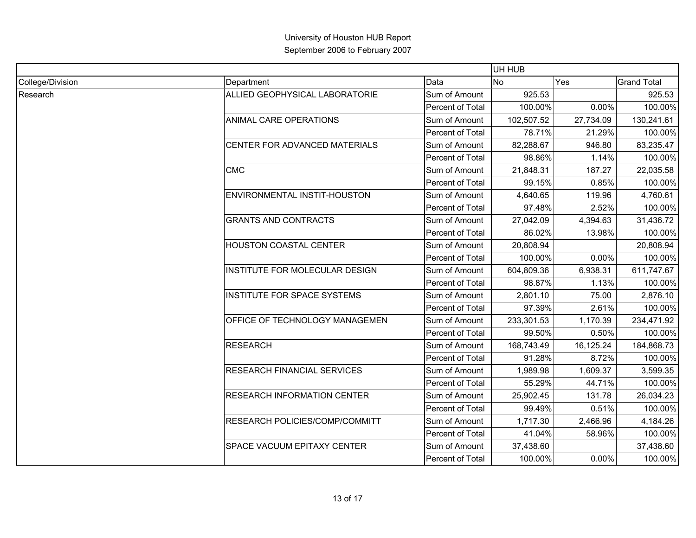|                  |                                                                 |                  | UH HUB     |           |                                                                                                                                                                                                                                                                                                                                                                                                                                                                                                                            |
|------------------|-----------------------------------------------------------------|------------------|------------|-----------|----------------------------------------------------------------------------------------------------------------------------------------------------------------------------------------------------------------------------------------------------------------------------------------------------------------------------------------------------------------------------------------------------------------------------------------------------------------------------------------------------------------------------|
| College/Division | Department                                                      | Data             | No.        | Yes       | <b>Grand Total</b>                                                                                                                                                                                                                                                                                                                                                                                                                                                                                                         |
| Research         | ALLIED GEOPHYSICAL LABORATORIE                                  | Sum of Amount    | 925.53     |           | 925.53                                                                                                                                                                                                                                                                                                                                                                                                                                                                                                                     |
|                  |                                                                 | Percent of Total | 100.00%    | $0.00\%$  | 100.00%                                                                                                                                                                                                                                                                                                                                                                                                                                                                                                                    |
|                  | <b>ANIMAL CARE OPERATIONS</b>                                   | Sum of Amount    | 102,507.52 | 27,734.09 | 130,241.61<br>21.29%<br>100.00%<br>83,235.47<br>946.80<br>100.00%<br>1.14%<br>22,035.58<br>187.27<br>0.85%<br>100.00%<br>4,760.61<br>119.96<br>2.52%<br>100.00%<br>31,436.72<br>4,394.63<br>100.00%<br>13.98%<br>20,808.94<br>0.00%<br>100.00%<br>6,938.31<br>611,747.67<br>100.00%<br>1.13%<br>2,876.10<br>75.00<br>100.00%<br>2.61%<br>234,471.92<br>1,170.39<br>0.50%<br>100.00%<br>184,868.73<br>16,125.24<br>100.00%<br>8.72%<br>3,599.35<br>1,609.37<br>44.71%<br>100.00%<br>26,034.23<br>131.78<br>0.51%<br>100.00% |
|                  |                                                                 | Percent of Total | 78.71%     |           |                                                                                                                                                                                                                                                                                                                                                                                                                                                                                                                            |
|                  | CENTER FOR ADVANCED MATERIALS                                   | Sum of Amount    | 82,288.67  |           |                                                                                                                                                                                                                                                                                                                                                                                                                                                                                                                            |
|                  |                                                                 | Percent of Total | 98.86%     |           |                                                                                                                                                                                                                                                                                                                                                                                                                                                                                                                            |
|                  | <b>CMC</b>                                                      | Sum of Amount    | 21,848.31  |           |                                                                                                                                                                                                                                                                                                                                                                                                                                                                                                                            |
|                  |                                                                 | Percent of Total | 99.15%     |           |                                                                                                                                                                                                                                                                                                                                                                                                                                                                                                                            |
|                  | ENVIRONMENTAL INSTIT-HOUSTON                                    | Sum of Amount    | 4,640.65   |           |                                                                                                                                                                                                                                                                                                                                                                                                                                                                                                                            |
|                  |                                                                 | Percent of Total | 97.48%     |           |                                                                                                                                                                                                                                                                                                                                                                                                                                                                                                                            |
|                  | <b>GRANTS AND CONTRACTS</b>                                     | Sum of Amount    | 27,042.09  |           | 4,184.26<br>100.00%<br>58.96%<br>37,438.60                                                                                                                                                                                                                                                                                                                                                                                                                                                                                 |
|                  |                                                                 | Percent of Total | 86.02%     |           |                                                                                                                                                                                                                                                                                                                                                                                                                                                                                                                            |
|                  | <b>HOUSTON COASTAL CENTER</b><br>INSTITUTE FOR MOLECULAR DESIGN | Sum of Amount    | 20,808.94  |           |                                                                                                                                                                                                                                                                                                                                                                                                                                                                                                                            |
|                  |                                                                 | Percent of Total | 100.00%    |           |                                                                                                                                                                                                                                                                                                                                                                                                                                                                                                                            |
|                  |                                                                 | Sum of Amount    | 604,809.36 |           |                                                                                                                                                                                                                                                                                                                                                                                                                                                                                                                            |
|                  |                                                                 | Percent of Total | 98.87%     |           |                                                                                                                                                                                                                                                                                                                                                                                                                                                                                                                            |
|                  | <b>INSTITUTE FOR SPACE SYSTEMS</b>                              | Sum of Amount    | 2,801.10   |           |                                                                                                                                                                                                                                                                                                                                                                                                                                                                                                                            |
|                  |                                                                 | Percent of Total | 97.39%     |           |                                                                                                                                                                                                                                                                                                                                                                                                                                                                                                                            |
|                  | OFFICE OF TECHNOLOGY MANAGEMEN                                  | Sum of Amount    | 233,301.53 |           |                                                                                                                                                                                                                                                                                                                                                                                                                                                                                                                            |
|                  |                                                                 | Percent of Total | 99.50%     |           |                                                                                                                                                                                                                                                                                                                                                                                                                                                                                                                            |
|                  | <b>RESEARCH</b>                                                 | Sum of Amount    | 168,743.49 |           |                                                                                                                                                                                                                                                                                                                                                                                                                                                                                                                            |
|                  |                                                                 | Percent of Total | 91.28%     |           |                                                                                                                                                                                                                                                                                                                                                                                                                                                                                                                            |
|                  | <b>RESEARCH FINANCIAL SERVICES</b>                              | Sum of Amount    | 1,989.98   |           |                                                                                                                                                                                                                                                                                                                                                                                                                                                                                                                            |
|                  |                                                                 | Percent of Total | 55.29%     |           |                                                                                                                                                                                                                                                                                                                                                                                                                                                                                                                            |
|                  | <b>RESEARCH INFORMATION CENTER</b>                              | Sum of Amount    | 25,902.45  |           |                                                                                                                                                                                                                                                                                                                                                                                                                                                                                                                            |
|                  |                                                                 | Percent of Total | 99.49%     |           |                                                                                                                                                                                                                                                                                                                                                                                                                                                                                                                            |
|                  | RESEARCH POLICIES/COMP/COMMITT                                  | Sum of Amount    | 1,717.30   | 2,466.96  |                                                                                                                                                                                                                                                                                                                                                                                                                                                                                                                            |
|                  |                                                                 | Percent of Total | 41.04%     |           |                                                                                                                                                                                                                                                                                                                                                                                                                                                                                                                            |
|                  | SPACE VACUUM EPITAXY CENTER                                     | Sum of Amount    | 37,438.60  |           |                                                                                                                                                                                                                                                                                                                                                                                                                                                                                                                            |
|                  |                                                                 | Percent of Total | 100.00%    | 0.00%     | 100.00%                                                                                                                                                                                                                                                                                                                                                                                                                                                                                                                    |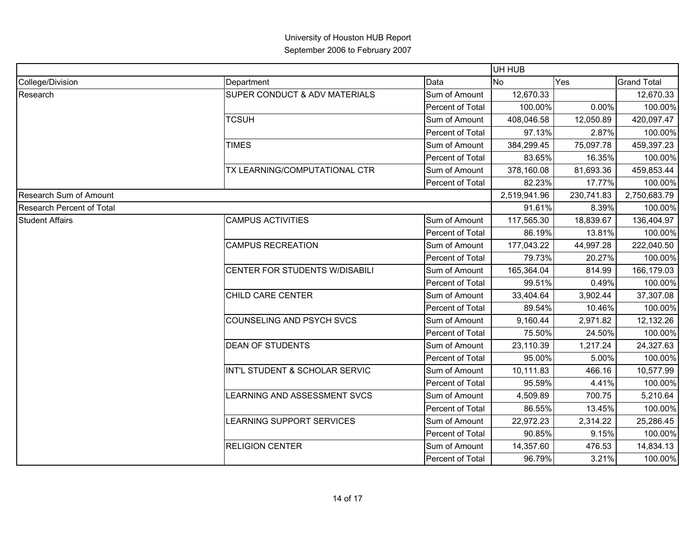|                           |                                |                         | UH HUB         |            |                    |
|---------------------------|--------------------------------|-------------------------|----------------|------------|--------------------|
| College/Division          | Department                     | Data                    | N <sub>o</sub> | Yes        | <b>Grand Total</b> |
| Research                  | SUPER CONDUCT & ADV MATERIALS  | Sum of Amount           | 12,670.33      |            | 12,670.33          |
|                           |                                | Percent of Total        | 100.00%        | 0.00%      | 100.00%            |
|                           | <b>TCSUH</b>                   | Sum of Amount           | 408,046.58     | 12,050.89  | 420,097.47         |
|                           |                                | Percent of Total        | 97.13%         | 2.87%      | 100.00%            |
|                           | <b>TIMES</b>                   | Sum of Amount           | 384,299.45     | 75,097.78  | 459,397.23         |
|                           |                                | Percent of Total        | 83.65%         | 16.35%     | 100.00%            |
|                           | TX LEARNING/COMPUTATIONAL CTR  | Sum of Amount           | 378,160.08     | 81,693.36  | 459,853.44         |
|                           |                                | Percent of Total        | 82.23%         | 17.77%     | 100.00%            |
| Research Sum of Amount    |                                |                         | 2,519,941.96   | 230,741.83 | 2,750,683.79       |
| Research Percent of Total |                                |                         | 91.61%         | 8.39%      | 100.00%            |
| <b>Student Affairs</b>    | <b>CAMPUS ACTIVITIES</b>       | Sum of Amount           | 117,565.30     | 18,839.67  | 136,404.97         |
|                           |                                | Percent of Total        | 86.19%         | 13.81%     | 100.00%            |
|                           | <b>CAMPUS RECREATION</b>       | Sum of Amount           | 177,043.22     | 44,997.28  | 222,040.50         |
|                           |                                | Percent of Total        | 79.73%         | 20.27%     | 100.00%            |
|                           | CENTER FOR STUDENTS W/DISABILI | Sum of Amount           | 165,364.04     | 814.99     | 166,179.03         |
|                           |                                | Percent of Total        | 99.51%         | 0.49%      | 100.00%            |
|                           | CHILD CARE CENTER              | Sum of Amount           | 33,404.64      | 3,902.44   | 37,307.08          |
|                           |                                | Percent of Total        | 89.54%         | 10.46%     | 100.00%            |
|                           | COUNSELING AND PSYCH SVCS      | Sum of Amount           | 9,160.44       | 2,971.82   | 12,132.26          |
|                           |                                | Percent of Total        | 75.50%         | 24.50%     | 100.00%            |
|                           | <b>DEAN OF STUDENTS</b>        | Sum of Amount           | 23,110.39      | 1,217.24   | 24,327.63          |
|                           |                                | Percent of Total        | 95.00%         | 5.00%      | 100.00%            |
|                           | INT'L STUDENT & SCHOLAR SERVIC | Sum of Amount           | 10,111.83      | 466.16     | 10,577.99          |
|                           |                                | <b>Percent of Total</b> | 95.59%         | 4.41%      | 100.00%            |
|                           | LEARNING AND ASSESSMENT SVCS   | Sum of Amount           | 4,509.89       | 700.75     | 5,210.64           |
|                           |                                | Percent of Total        | 86.55%         | 13.45%     | 100.00%            |
|                           | LEARNING SUPPORT SERVICES      | Sum of Amount           | 22,972.23      | 2,314.22   | 25,286.45          |
|                           |                                | Percent of Total        | 90.85%         | 9.15%      | 100.00%            |
|                           | <b>RELIGION CENTER</b>         | Sum of Amount           | 14,357.60      | 476.53     | 14,834.13          |
|                           |                                | Percent of Total        | 96.79%         | 3.21%      | 100.00%            |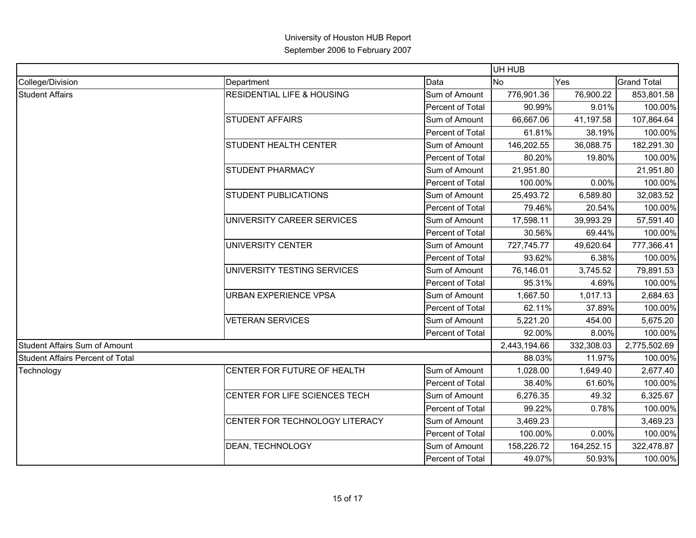|                                         |                                       |                  | UH HUB       |            |                                                                                                                                                                                    |
|-----------------------------------------|---------------------------------------|------------------|--------------|------------|------------------------------------------------------------------------------------------------------------------------------------------------------------------------------------|
| College/Division                        | Department                            | Data             | <b>No</b>    | Yes        | <b>Grand Total</b>                                                                                                                                                                 |
| <b>Student Affairs</b>                  | <b>RESIDENTIAL LIFE &amp; HOUSING</b> | Sum of Amount    | 776,901.36   | 76,900.22  | 853,801.58                                                                                                                                                                         |
|                                         |                                       | Percent of Total | 90.99%       | 9.01%      | 100.00%                                                                                                                                                                            |
|                                         | <b>STUDENT AFFAIRS</b>                | Sum of Amount    | 66,667.06    | 41,197.58  | 107,864.64                                                                                                                                                                         |
|                                         |                                       | Percent of Total | 61.81%       | 38.19%     | 100.00%                                                                                                                                                                            |
|                                         | <b>STUDENT HEALTH CENTER</b>          | Sum of Amount    | 146,202.55   | 36,088.75  | 182,291.30                                                                                                                                                                         |
|                                         |                                       | Percent of Total | 80.20%       | 19.80%     | 100.00%                                                                                                                                                                            |
|                                         | <b>STUDENT PHARMACY</b>               | Sum of Amount    | 21,951.80    |            | 21,951.80                                                                                                                                                                          |
|                                         |                                       | Percent of Total | 100.00%      | 0.00%      | 100.00%                                                                                                                                                                            |
|                                         | <b>STUDENT PUBLICATIONS</b>           | Sum of Amount    | 25,493.72    | 6,589.80   | 32,083.52                                                                                                                                                                          |
|                                         |                                       | Percent of Total | 79.46%       |            |                                                                                                                                                                                    |
|                                         | UNIVERSITY CAREER SERVICES            | Sum of Amount    | 17,598.11    | 39,993.29  | 57,591.40                                                                                                                                                                          |
|                                         |                                       | Percent of Total | 30.56%       |            |                                                                                                                                                                                    |
|                                         | <b>UNIVERSITY CENTER</b>              | Sum of Amount    | 727,745.77   | 49,620.64  | 777,366.41                                                                                                                                                                         |
|                                         |                                       | Percent of Total | 93.62%       |            |                                                                                                                                                                                    |
|                                         | UNIVERSITY TESTING SERVICES           | Sum of Amount    | 76,146.01    | 3,745.52   | 20.54%<br>100.00%<br>100.00%<br>69.44%<br>6.38%<br>100.00%<br>79,891.53<br>4.69%<br>100.00%<br>2,684.63<br>1,017.13<br>100.00%<br>37.89%<br>454.00<br>5,675.20<br>8.00%<br>100.00% |
|                                         |                                       | Percent of Total | 95.31%       |            |                                                                                                                                                                                    |
|                                         | URBAN EXPERIENCE VPSA                 | Sum of Amount    | 1,667.50     |            |                                                                                                                                                                                    |
|                                         |                                       | Percent of Total | 62.11%       |            |                                                                                                                                                                                    |
|                                         | <b>VETERAN SERVICES</b>               | Sum of Amount    | 5,221.20     |            |                                                                                                                                                                                    |
|                                         |                                       | Percent of Total | 92.00%       |            |                                                                                                                                                                                    |
| <b>Student Affairs Sum of Amount</b>    |                                       |                  | 2,443,194.66 | 332,308.03 | 2,775,502.69                                                                                                                                                                       |
| <b>Student Affairs Percent of Total</b> |                                       |                  | 88.03%       | 11.97%     | 100.00%                                                                                                                                                                            |
| Technology                              | CENTER FOR FUTURE OF HEALTH           | Sum of Amount    | 1,028.00     | 1,649.40   | 2,677.40                                                                                                                                                                           |
|                                         |                                       | Percent of Total | 38.40%       | 61.60%     | 100.00%                                                                                                                                                                            |
|                                         | CENTER FOR LIFE SCIENCES TECH         | Sum of Amount    | 6,276.35     | 49.32      | 6,325.67                                                                                                                                                                           |
|                                         |                                       | Percent of Total | 99.22%       | 0.78%      | 100.00%                                                                                                                                                                            |
|                                         | CENTER FOR TECHNOLOGY LITERACY        | Sum of Amount    | 3,469.23     |            | 3,469.23                                                                                                                                                                           |
|                                         |                                       | Percent of Total | 100.00%      | 0.00%      | 100.00%                                                                                                                                                                            |
|                                         | DEAN, TECHNOLOGY                      | Sum of Amount    | 158,226.72   | 164,252.15 | 322,478.87                                                                                                                                                                         |
|                                         |                                       | Percent of Total | 49.07%       | 50.93%     | 100.00%                                                                                                                                                                            |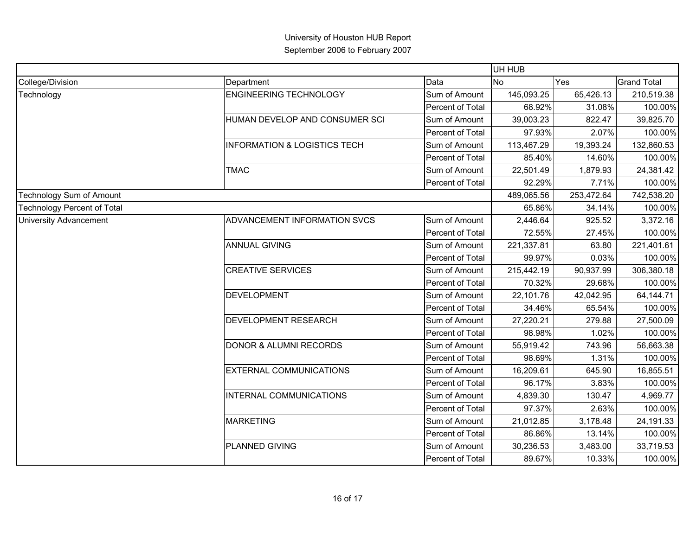|                                    |                                         |                  | UH HUB     |            |                    |
|------------------------------------|-----------------------------------------|------------------|------------|------------|--------------------|
| College/Division                   | Department                              | Data             | <b>No</b>  | Yes        | <b>Grand Total</b> |
| Technology                         | <b>ENGINEERING TECHNOLOGY</b>           | Sum of Amount    | 145,093.25 | 65,426.13  | 210,519.38         |
|                                    |                                         | Percent of Total | 68.92%     | 31.08%     | 100.00%            |
|                                    | HUMAN DEVELOP AND CONSUMER SCI          | Sum of Amount    | 39,003.23  | 822.47     | 39,825.70          |
|                                    |                                         | Percent of Total | 97.93%     | 2.07%      | 100.00%            |
|                                    | <b>INFORMATION &amp; LOGISTICS TECH</b> | Sum of Amount    | 113,467.29 | 19,393.24  | 132,860.53         |
|                                    |                                         | Percent of Total | 85.40%     | 14.60%     | 100.00%            |
|                                    | <b>TMAC</b>                             | Sum of Amount    | 22,501.49  | 1,879.93   | 24,381.42          |
|                                    |                                         | Percent of Total | 92.29%     | 7.71%      | 100.00%            |
| <b>Technology Sum of Amount</b>    |                                         |                  | 489,065.56 | 253,472.64 | 742,538.20         |
| <b>Technology Percent of Total</b> |                                         |                  | 65.86%     | 34.14%     | 100.00%            |
| <b>University Advancement</b>      | ADVANCEMENT INFORMATION SVCS            | Sum of Amount    | 2,446.64   | 925.52     | 3,372.16           |
|                                    |                                         | Percent of Total | 72.55%     | 27.45%     | 100.00%            |
|                                    | <b>ANNUAL GIVING</b>                    | Sum of Amount    | 221,337.81 | 63.80      | 221,401.61         |
|                                    |                                         | Percent of Total | 99.97%     | 0.03%      | 100.00%            |
|                                    | <b>CREATIVE SERVICES</b>                | Sum of Amount    | 215,442.19 | 90,937.99  | 306,380.18         |
|                                    |                                         | Percent of Total | 70.32%     | 29.68%     | 100.00%            |
|                                    | <b>DEVELOPMENT</b>                      | Sum of Amount    | 22,101.76  | 42,042.95  | 64,144.71          |
|                                    |                                         | Percent of Total | 34.46%     | 65.54%     | 100.00%            |
|                                    | <b>DEVELOPMENT RESEARCH</b>             | Sum of Amount    | 27,220.21  | 279.88     | 27,500.09          |
|                                    |                                         | Percent of Total | 98.98%     | 1.02%      | 100.00%            |
|                                    | <b>DONOR &amp; ALUMNI RECORDS</b>       | Sum of Amount    | 55,919.42  | 743.96     | 56,663.38          |
|                                    |                                         | Percent of Total | 98.69%     | 1.31%      | 100.00%            |
|                                    | <b>EXTERNAL COMMUNICATIONS</b>          | Sum of Amount    | 16,209.61  | 645.90     | 16,855.51          |
|                                    |                                         | Percent of Total | 96.17%     | 3.83%      | 100.00%            |
|                                    | INTERNAL COMMUNICATIONS                 | Sum of Amount    | 4,839.30   | 130.47     | 4,969.77           |
|                                    |                                         | Percent of Total | 97.37%     | 2.63%      | 100.00%            |
|                                    | <b>MARKETING</b>                        | Sum of Amount    | 21,012.85  | 3,178.48   | 24,191.33          |
|                                    |                                         | Percent of Total | 86.86%     | 13.14%     | 100.00%            |
|                                    | PLANNED GIVING                          | Sum of Amount    | 30,236.53  | 3,483.00   | 33,719.53          |
|                                    |                                         | Percent of Total | 89.67%     | 10.33%     | 100.00%            |